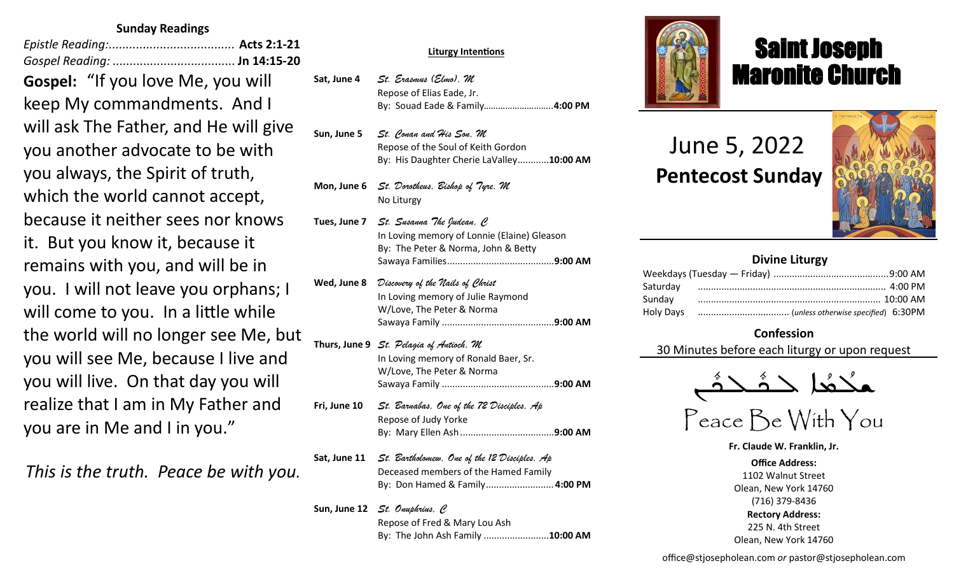## **Sunday Readings**

*Epistle Reading:.....................................* **Acts 2:1-21** *Gospel Reading:* .................................... **Jn 14:15-20 Gospel:** "If you love Me, you will keep My commandments. And I will ask The Father, and He will give you another advocate to be with you always, the Spirit of truth, which the world cannot accept, because it neither sees nor knows it. But you know it, because it remains with you, and will be in you. I will not leave you orphans; I will come to you. In a little while the world will no longer see Me, but you will see Me, because I live and you will live. On that day you will realize that I am in My Father and you are in Me and I in you."

*This is the truth. Peace be with you.*

#### **Sat, Apr 9** *St. Hermas, M* **Liturgy Intentions**

- Sat, June 4 *St. Erasmus (Elmo), M* Repose of Elias Eade, Jr. **Sun, Apr 10** *The Miracle of the Icon of Christ in Beirut/St. Agabus, C* By: Souad Eade & Family*………………………..***4:00 PM**
- Sun, June 5 *St. Conan and His Son, M* Repose of the Soul of Keith Gordon **Mon, Apr 11** *St. Antipas, M* By: His Daughter Cherie LaValley............**10:00 AM**
- $Mon, June 6 \tSt. \it Dorotheus, \it Eishop of \it Type, \it M$ **Tue, Apr 12** *Sts. Mennas, Hermogenes and Eugraphus, M* No Liturgy
- **Reading: 1 Thes 2:13-17; Lk 13:22-30 Tues, June 7** *St. Susanna The Judean, C* In Loving memory of Lonnie (Elaine) Gleason By: The Peter & Norma, John & Betty **Reading: Heb 2:5-12; Jn 11:47-54** Sawaya Families.........................................**9:00 AM**
- **Thur, Apr 14** *Thursday of the Mysteries St. Hermenegild the King, M* In Loving memory of Julie Raymond **W/Love, The Peter & Norma** The Intentions & Donors Sawaya Family ...........................................**9:00 AM** Of Catholic Extension ................................**9:00 AM Wed, June 8** *Discovery of the Nails of Christ*
- **Fri, April 15** *Great Friday of the Crucifixion Pope St. Soter (+175), M* **Reading: Heb 12:12-21; Jn 19:31-37** In Loving memory of Ronald Baer, Sr. W/Love, The Peter & Norma Of Catholic Extension ................................**9:00 AM**  Sawaya Family ...........................................**9:00 AM Thurs, June 9** *St. Pelagia of Antioch, M*
- **Sat, Apr 16** *Great Saturday of the Light St. Bernadette Soubirous,C* **Fri, June 10** *St. Barnabas, One of the 72 Disciples, Ap* **Repose of Judy Yorke** Repose of Albert Abdo .............................. **4:00 PM** By: Mary Ellen Ash....................................**9:00 AM**
- **Sat, June 11** *St. Bartholomew, One of the 12 Disciples, Ap* **Deceased members of the Hamed Family** Mitchell Sawaya ......................................**10:00 AM** By: Don Hamed & Family*..........................***4:00 PM** By: Paul Sawaya & Family
- **Sun, June 12** *St. Onuphrius, C* Repose of Fred & Mary Lou Ash By: The John Ash Family .........................**10:00 AM**



# Saint Joseph Maronite Church

# June 5, 2022  **Pentecost Sunday**

ī



| <b>Divine Liturgy</b> |  |  |  |
|-----------------------|--|--|--|
|                       |  |  |  |
| Saturday              |  |  |  |
| Sunday                |  |  |  |
|                       |  |  |  |

### **Confession**

30 Minutes before each liturgy or upon request



Peace Be With You

**Fr. Claude W. Franklin, Jr. Office Address:** 1102 Walnut Street Olean, New York 14760 (716) 379-8436 **Rectory Address:** 225 N. 4th Street Olean, New York 14760

office@stjosepholean.com *or* pastor@stjosepholean.com